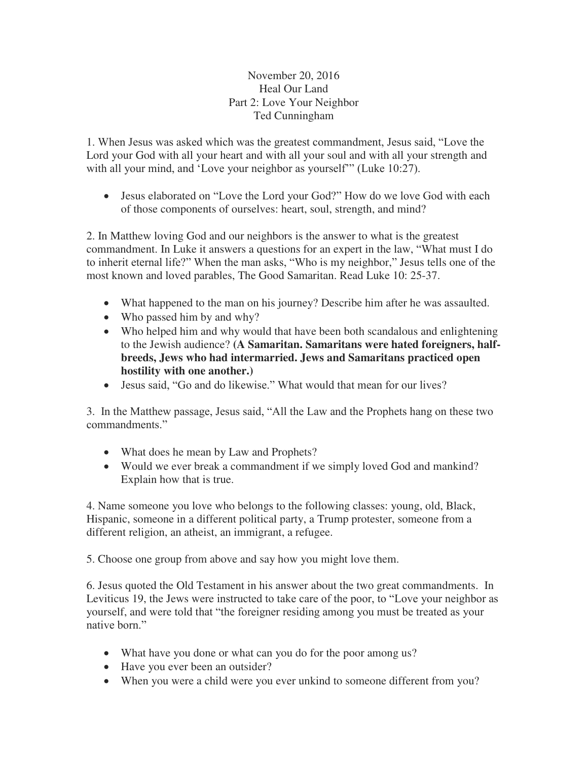## November 20, 2016 Heal Our Land Part 2: Love Your Neighbor Ted Cunningham

1. When Jesus was asked which was the greatest commandment, Jesus said, "Love the Lord your God with all your heart and with all your soul and with all your strength and with all your mind, and 'Love your neighbor as yourself'" (Luke 10:27).

 Jesus elaborated on "Love the Lord your God?" How do we love God with each of those components of ourselves: heart, soul, strength, and mind?

2. In Matthew loving God and our neighbors is the answer to what is the greatest commandment. In Luke it answers a questions for an expert in the law, "What must I do to inherit eternal life?" When the man asks, "Who is my neighbor," Jesus tells one of the most known and loved parables, The Good Samaritan. Read Luke 10: 25-37.

- What happened to the man on his journey? Describe him after he was assaulted.
- Who passed him by and why?
- Who helped him and why would that have been both scandalous and enlightening to the Jewish audience? **(A Samaritan. Samaritans were hated foreigners, halfbreeds, Jews who had intermarried. Jews and Samaritans practiced open hostility with one another.)**
- Jesus said, "Go and do likewise." What would that mean for our lives?

3. In the Matthew passage, Jesus said, "All the Law and the Prophets hang on these two commandments."

- What does he mean by Law and Prophets?
- Would we ever break a commandment if we simply loved God and mankind? Explain how that is true.

4. Name someone you love who belongs to the following classes: young, old, Black, Hispanic, someone in a different political party, a Trump protester, someone from a different religion, an atheist, an immigrant, a refugee.

5. Choose one group from above and say how you might love them.

6. Jesus quoted the Old Testament in his answer about the two great commandments. In Leviticus 19, the Jews were instructed to take care of the poor, to "Love your neighbor as yourself, and were told that "the foreigner residing among you must be treated as your native born."

- What have you done or what can you do for the poor among us?
- Have you ever been an outsider?
- When you were a child were you ever unkind to someone different from you?